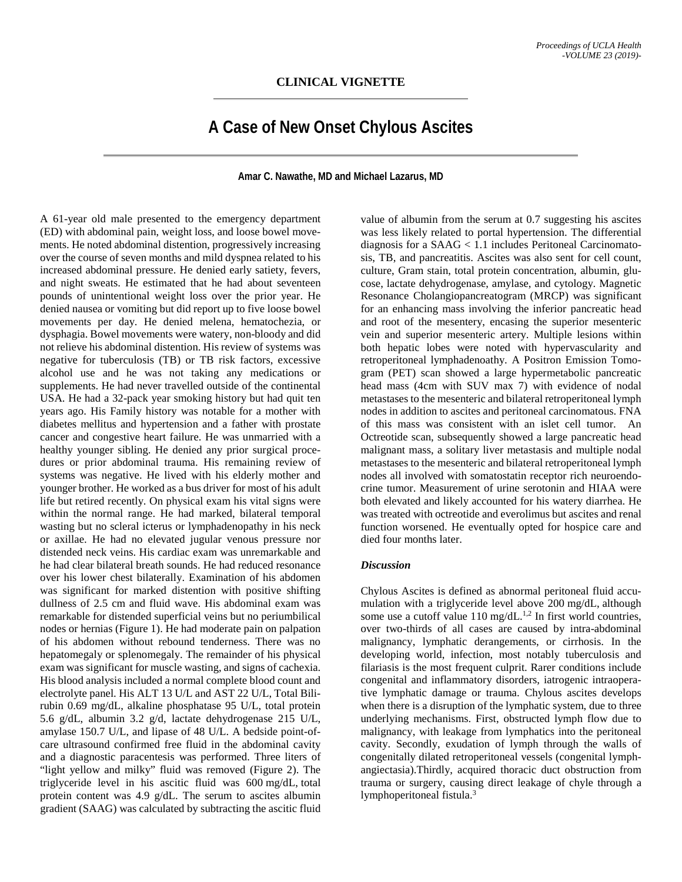## **A Case of New Onset Chylous Ascites**

**Amar C. Nawathe, MD and Michael Lazarus, MD**

A 61-year old male presented to the emergency department (ED) with abdominal pain, weight loss, and loose bowel movements. He noted abdominal distention, progressively increasing over the course of seven months and mild dyspnea related to his increased abdominal pressure. He denied early satiety, fevers, and night sweats. He estimated that he had about seventeen pounds of unintentional weight loss over the prior year. He denied nausea or vomiting but did report up to five loose bowel movements per day. He denied melena, hematochezia, or dysphagia. Bowel movements were watery, non-bloody and did not relieve his abdominal distention. His review of systems was negative for tuberculosis (TB) or TB risk factors, excessive alcohol use and he was not taking any medications or supplements. He had never travelled outside of the continental USA. He had a 32-pack year smoking history but had quit ten years ago. His Family history was notable for a mother with diabetes mellitus and hypertension and a father with prostate cancer and congestive heart failure. He was unmarried with a healthy younger sibling. He denied any prior surgical procedures or prior abdominal trauma. His remaining review of systems was negative. He lived with his elderly mother and younger brother. He worked as a bus driver for most of his adult life but retired recently. On physical exam his vital signs were within the normal range. He had marked, bilateral temporal wasting but no scleral icterus or lymphadenopathy in his neck or axillae. He had no elevated jugular venous pressure nor distended neck veins. His cardiac exam was unremarkable and he had clear bilateral breath sounds. He had reduced resonance over his lower chest bilaterally. Examination of his abdomen was significant for marked distention with positive shifting dullness of 2.5 cm and fluid wave. His abdominal exam was remarkable for distended superficial veins but no periumbilical nodes or hernias (Figure 1). He had moderate pain on palpation of his abdomen without rebound tenderness. There was no hepatomegaly or splenomegaly. The remainder of his physical exam was significant for muscle wasting, and signs of cachexia. His blood analysis included a normal complete blood count and electrolyte panel. His ALT 13 U/L and AST 22 U/L, Total Bilirubin 0.69 mg/dL, alkaline phosphatase 95 U/L, total protein 5.6 g/dL, albumin 3.2 g/d, lactate dehydrogenase 215 U/L, amylase 150.7 U/L, and lipase of 48 U/L. A bedside point-ofcare ultrasound confirmed free fluid in the abdominal cavity and a diagnostic paracentesis was performed. Three liters of "light yellow and milky" fluid was removed (Figure 2). The triglyceride level in his ascitic fluid was 600 mg/dL, total protein content was 4.9 g/dL. The serum to ascites albumin gradient (SAAG) was calculated by subtracting the ascitic fluid

value of albumin from the serum at 0.7 suggesting his ascites was less likely related to portal hypertension. The differential diagnosis for a SAAG < 1.1 includes Peritoneal Carcinomatosis, TB, and pancreatitis. Ascites was also sent for cell count, culture, Gram stain, total protein concentration, albumin, glucose, lactate dehydrogenase, amylase, and cytology. Magnetic Resonance Cholangiopancreatogram (MRCP) was significant for an enhancing mass involving the inferior pancreatic head and root of the mesentery, encasing the superior mesenteric vein and superior mesenteric artery. Multiple lesions within both hepatic lobes were noted with hypervascularity and retroperitoneal lymphadenoathy. A Positron Emission Tomogram (PET) scan showed a large hypermetabolic pancreatic head mass (4cm with SUV max 7) with evidence of nodal metastases to the mesenteric and bilateral retroperitoneal lymph nodes in addition to ascites and peritoneal carcinomatous. FNA of this mass was consistent with an islet cell tumor. An Octreotide scan, subsequently showed a large pancreatic head malignant mass, a solitary liver metastasis and multiple nodal metastases to the mesenteric and bilateral retroperitoneal lymph nodes all involved with somatostatin receptor rich neuroendocrine tumor. Measurement of urine serotonin and HIAA were both elevated and likely accounted for his watery diarrhea. He was treated with octreotide and everolimus but ascites and renal function worsened. He eventually opted for hospice care and died four months later.

## *Discussion*

Chylous Ascites is defined as abnormal peritoneal fluid accumulation with a triglyceride level above 200 mg/dL, although some use a cutoff value  $110 \text{ mg/dL}^{1,2}$  In first world countries, over two-thirds of all cases are caused by intra-abdominal malignancy, lymphatic derangements, or cirrhosis. In the developing world, infection, most notably tuberculosis and filariasis is the most frequent culprit. Rarer conditions include congenital and inflammatory disorders, iatrogenic intraoperative lymphatic damage or trauma. Chylous ascites develops when there is a disruption of the lymphatic system, due to three underlying mechanisms. First, obstructed lymph flow due to malignancy, with leakage from lymphatics into the peritoneal cavity. Secondly, exudation of lymph through the walls of congenitally dilated retroperitoneal vessels (congenital lymphangiectasia).Thirdly, acquired thoracic duct obstruction from trauma or surgery, causing direct leakage of chyle through a lymphoperitoneal fistula.3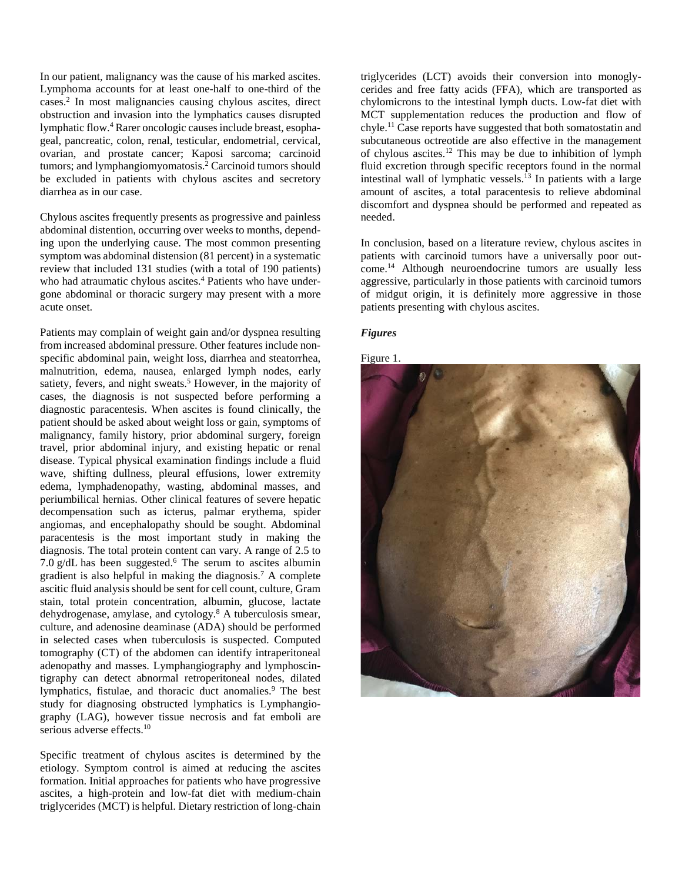In our patient, malignancy was the cause of his marked ascites. Lymphoma accounts for at least one-half to one-third of the cases.2 In most malignancies causing chylous ascites, direct obstruction and invasion into the lymphatics causes disrupted lymphatic flow. <sup>4</sup> Rarer oncologic causes include breast, esophageal, pancreatic, colon, renal, testicular, endometrial, cervical, ovarian, and prostate cancer; Kaposi sarcoma; carcinoid tumors; and lymphangiomyomatosis. <sup>2</sup> Carcinoid tumors should be excluded in patients with chylous ascites and secretory diarrhea as in our case.

Chylous ascites frequently presents as progressive and painless abdominal distention, occurring over weeks to months, depending upon the underlying cause. The most common presenting symptom was abdominal distension (81 percent) in a systematic review that included 131 studies (with a total of 190 patients) who had atraumatic chylous ascites.<sup>4</sup> Patients who have undergone abdominal or thoracic surgery may present with a more acute onset.

Patients may complain of weight gain and/or dyspnea resulting from increased abdominal pressure. Other features include nonspecific abdominal pain, weight loss, diarrhea and steatorrhea, malnutrition, edema, nausea, enlarged lymph nodes, early satiety, fevers, and night sweats. <sup>5</sup> However, in the majority of cases, the diagnosis is not suspected before performing a diagnostic paracentesis. When ascites is found clinically, the patient should be asked about weight loss or gain, symptoms of malignancy, family history, prior abdominal surgery, foreign travel, prior abdominal injury, and existing hepatic or renal disease. Typical physical examination findings include a fluid wave, shifting dullness, pleural effusions, lower extremity edema, lymphadenopathy, wasting, abdominal masses, and periumbilical hernias. Other clinical features of severe hepatic decompensation such as icterus, palmar erythema, spider angiomas, and encephalopathy should be sought. Abdominal paracentesis is the most important study in making the diagnosis. The total protein content can vary. A range of 2.5 to 7.0 g/dL has been suggested. <sup>6</sup> The serum to ascites albumin gradient is also helpful in making the diagnosis. <sup>7</sup> A complete ascitic fluid analysis should be sent for cell count, culture, Gram stain, total protein concentration, albumin, glucose, lactate dehydrogenase, amylase, and cytology. <sup>8</sup> A tuberculosis smear, culture, and adenosine deaminase (ADA) should be performed in selected cases when tuberculosis is suspected. Computed tomography (CT) of the abdomen can identify intraperitoneal adenopathy and masses. Lymphangiography and lymphoscintigraphy can detect abnormal retroperitoneal nodes, dilated lymphatics, fistulae, and thoracic duct anomalies.<sup>9</sup> The best study for diagnosing obstructed lymphatics is Lymphangiography (LAG), however tissue necrosis and fat emboli are serious adverse effects.<sup>10</sup>

Specific treatment of chylous ascites is determined by the etiology. Symptom control is aimed at reducing the ascites formation. Initial approaches for patients who have progressive ascites, a high-protein and low-fat diet with medium-chain triglycerides (MCT) is helpful. Dietary restriction of long-chain

triglycerides (LCT) avoids their conversion into monoglycerides and free fatty acids (FFA), which are transported as chylomicrons to the intestinal lymph ducts. Low-fat diet with MCT supplementation reduces the production and flow of chyle. <sup>11</sup> Case reports have suggested that both somatostatin and subcutaneous octreotide are also effective in the management of chylous ascites. <sup>12</sup> This may be due to inhibition of lymph fluid excretion through specific receptors found in the normal intestinal wall of lymphatic vessels. <sup>13</sup> In patients with a large amount of ascites, a total paracentesis to relieve abdominal discomfort and dyspnea should be performed and repeated as needed.

In conclusion, based on a literature review, chylous ascites in patients with carcinoid tumors have a universally poor outcome.14 Although neuroendocrine tumors are usually less aggressive, particularly in those patients with carcinoid tumors of midgut origin, it is definitely more aggressive in those patients presenting with chylous ascites.

## *Figures*

Figure 1.